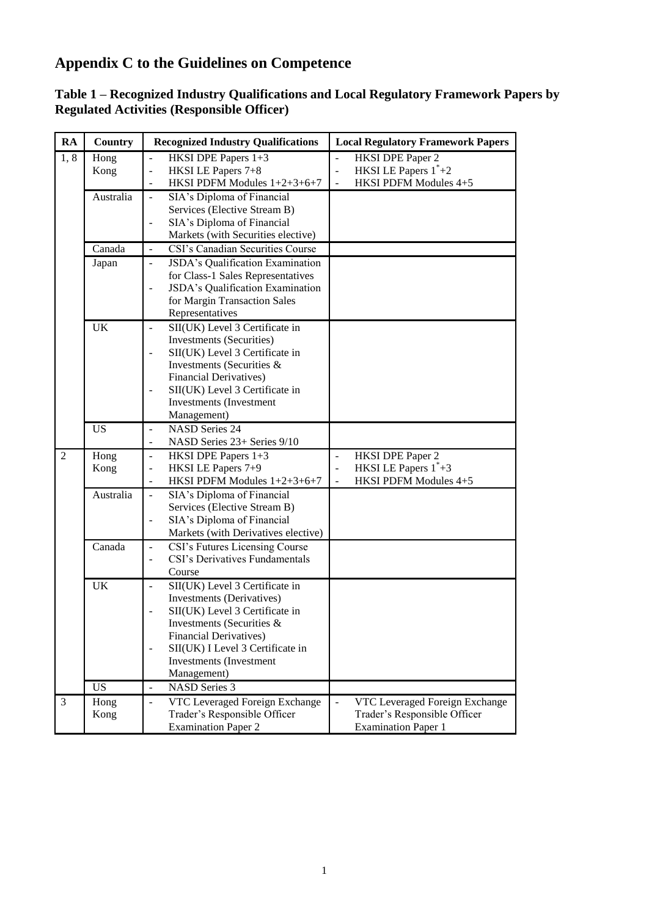# **Appendix C to the Guidelines on Competence**

| RA             | Country   | <b>Recognized Industry Qualifications</b>                    | <b>Local Regulatory Framework Papers</b>            |
|----------------|-----------|--------------------------------------------------------------|-----------------------------------------------------|
| 1,8            | Hong      | HKSI DPE Papers 1+3                                          | $\overline{\phantom{a}}$<br><b>HKSI DPE Paper 2</b> |
|                | Kong      | HKSI LE Papers 7+8<br>$\overline{\phantom{a}}$               | HKSI LE Papers $1^*+2$<br>$\Box$                    |
|                |           | HKSI PDFM Modules 1+2+3+6+7                                  | HKSI PDFM Modules 4+5<br>$\blacksquare$             |
|                | Australia | SIA's Diploma of Financial<br>$\overline{\phantom{a}}$       |                                                     |
|                |           | Services (Elective Stream B)                                 |                                                     |
|                |           | SIA's Diploma of Financial<br>$\overline{a}$                 |                                                     |
|                |           | Markets (with Securities elective)                           |                                                     |
|                | Canada    | CSI's Canadian Securities Course<br>$\overline{\phantom{a}}$ |                                                     |
|                | Japan     | JSDA's Qualification Examination<br>$\blacksquare$           |                                                     |
|                |           | for Class-1 Sales Representatives                            |                                                     |
|                |           | JSDA's Qualification Examination                             |                                                     |
|                |           | for Margin Transaction Sales                                 |                                                     |
|                |           | Representatives                                              |                                                     |
|                | UK        | SII(UK) Level 3 Certificate in<br>$\overline{a}$             |                                                     |
|                |           | <b>Investments</b> (Securities)                              |                                                     |
|                |           | SII(UK) Level 3 Certificate in                               |                                                     |
|                |           | Investments (Securities &                                    |                                                     |
|                |           | <b>Financial Derivatives)</b>                                |                                                     |
|                |           | SII(UK) Level 3 Certificate in                               |                                                     |
|                |           | <b>Investments</b> (Investment                               |                                                     |
|                |           | Management)                                                  |                                                     |
|                | <b>US</b> | <b>NASD Series 24</b>                                        |                                                     |
|                |           | NASD Series 23+ Series 9/10<br>$\blacksquare$                |                                                     |
| $\overline{2}$ | Hong      | HKSI DPE Papers 1+3<br>$\blacksquare$                        | <b>HKSI DPE Paper 2</b><br>$\blacksquare$           |
|                | Kong      | HKSI LE Papers 7+9<br>$\overline{a}$                         | HKSI LE Papers $1^*+3$<br>$\frac{1}{2}$             |
|                |           | HKSI PDFM Modules 1+2+3+6+7<br>$\blacksquare$                | HKSI PDFM Modules 4+5<br>$\frac{1}{2}$              |
|                | Australia | SIA's Diploma of Financial<br>$\overline{\phantom{a}}$       |                                                     |
|                |           | Services (Elective Stream B)                                 |                                                     |
|                |           | SIA's Diploma of Financial                                   |                                                     |
|                |           | Markets (with Derivatives elective)                          |                                                     |
|                | Canada    | CSI's Futures Licensing Course<br>÷,                         |                                                     |
|                |           | CSI's Derivatives Fundamentals<br>$\overline{a}$             |                                                     |
|                |           | Course                                                       |                                                     |
|                | UK        | SII(UK) Level 3 Certificate in                               |                                                     |
|                |           | Investments (Derivatives)                                    |                                                     |
|                |           | SII(UK) Level 3 Certificate in                               |                                                     |
|                |           | Investments (Securities &                                    |                                                     |
|                |           | <b>Financial Derivatives)</b>                                |                                                     |
|                |           | SII(UK) I Level 3 Certificate in                             |                                                     |
|                |           | Investments (Investment)                                     |                                                     |
|                |           | Management)                                                  |                                                     |
|                | <b>US</b> | <b>NASD Series 3</b><br>$\overline{\phantom{a}}$             |                                                     |
| 3              | Hong      | VTC Leveraged Foreign Exchange<br>$\overline{a}$             | VTC Leveraged Foreign Exchange<br>$\overline{a}$    |
|                | Kong      | Trader's Responsible Officer                                 | Trader's Responsible Officer                        |
|                |           | <b>Examination Paper 2</b>                                   | <b>Examination Paper 1</b>                          |

### **Table 1 – Recognized Industry Qualifications and Local Regulatory Framework Papers by Regulated Activities (Responsible Officer)**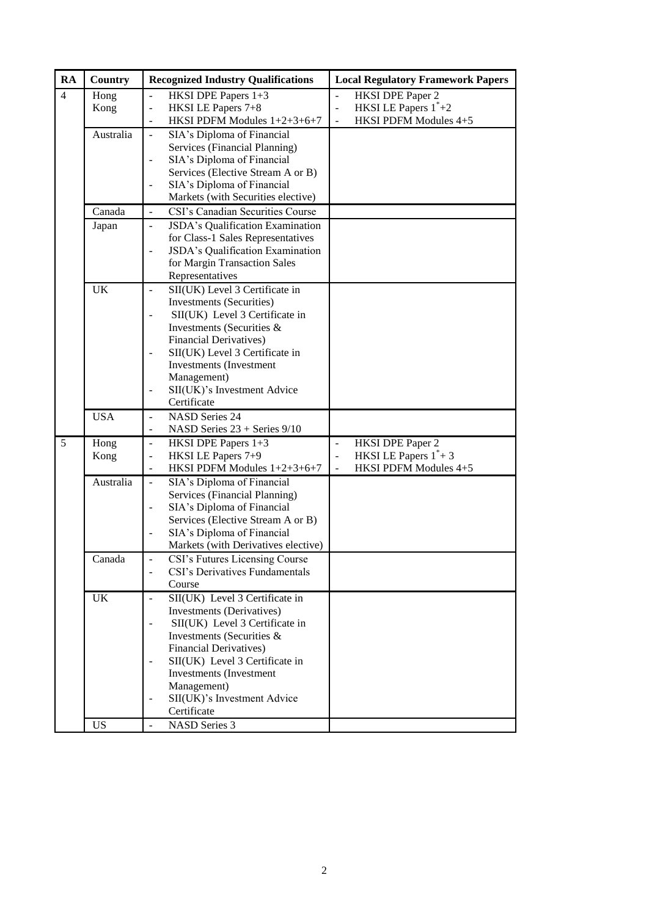| RA             | <b>Country</b> | <b>Recognized Industry Qualifications</b>                  | <b>Local Regulatory Framework Papers</b>  |
|----------------|----------------|------------------------------------------------------------|-------------------------------------------|
| $\overline{4}$ | Hong           | HKSI DPE Papers 1+3                                        | <b>HKSI DPE Paper 2</b>                   |
|                | Kong           | HKSI LE Papers 7+8<br>$\blacksquare$                       | HKSI LE Papers $1^*+2$<br>$\Box$          |
|                |                | HKSI PDFM Modules 1+2+3+6+7                                | HKSI PDFM Modules 4+5<br>$\overline{a}$   |
|                | Australia      | SIA's Diploma of Financial<br>$\bar{\phantom{a}}$          |                                           |
|                |                | Services (Financial Planning)                              |                                           |
|                |                | SIA's Diploma of Financial<br>$\overline{\phantom{0}}$     |                                           |
|                |                | Services (Elective Stream A or B)                          |                                           |
|                |                | SIA's Diploma of Financial                                 |                                           |
|                |                | Markets (with Securities elective)                         |                                           |
|                | Canada         | CSI's Canadian Securities Course<br>$\overline{a}$         |                                           |
|                | Japan          | JSDA's Qualification Examination<br>$\blacksquare$         |                                           |
|                |                | for Class-1 Sales Representatives                          |                                           |
|                |                | JSDA's Qualification Examination                           |                                           |
|                |                | for Margin Transaction Sales                               |                                           |
|                |                | Representatives                                            |                                           |
|                | <b>UK</b>      | SII(UK) Level 3 Certificate in                             |                                           |
|                |                | <b>Investments (Securities)</b>                            |                                           |
|                |                | SII(UK) Level 3 Certificate in                             |                                           |
|                |                | Investments (Securities &<br><b>Financial Derivatives)</b> |                                           |
|                |                | SII(UK) Level 3 Certificate in<br>$\frac{1}{2}$            |                                           |
|                |                | Investments (Investment                                    |                                           |
|                |                | Management)                                                |                                           |
|                |                | SII(UK)'s Investment Advice<br>$\overline{a}$              |                                           |
|                |                | Certificate                                                |                                           |
|                | <b>USA</b>     | <b>NASD Series 24</b><br>$\overline{\phantom{a}}$          |                                           |
|                |                | NASD Series 23 + Series 9/10<br>$\blacksquare$             |                                           |
| 5              | Hong           | HKSI DPE Papers 1+3<br>$\blacksquare$                      | <b>HKSI DPE Paper 2</b><br>$\overline{a}$ |
|                | Kong           | HKSI LE Papers 7+9<br>$\blacksquare$                       | HKSI LE Papers $1^*+3$<br>$\frac{1}{2}$   |
|                |                | HKSI PDFM Modules 1+2+3+6+7<br>$\blacksquare$              | HKSI PDFM Modules 4+5                     |
|                | Australia      | SIA's Diploma of Financial<br>$\overline{a}$               |                                           |
|                |                | Services (Financial Planning)                              |                                           |
|                |                | SIA's Diploma of Financial<br>$\blacksquare$               |                                           |
|                |                | Services (Elective Stream A or B)                          |                                           |
|                |                | SIA's Diploma of Financial                                 |                                           |
|                |                | Markets (with Derivatives elective)                        |                                           |
|                | Canada         | CSI's Futures Licensing Course                             |                                           |
|                |                | CSI's Derivatives Fundamentals                             |                                           |
|                |                | Course                                                     |                                           |
|                | <b>UK</b>      | SII(UK) Level 3 Certificate in<br>$\overline{a}$           |                                           |
|                |                | Investments (Derivatives)                                  |                                           |
|                |                | SII(UK) Level 3 Certificate in                             |                                           |
|                |                | Investments (Securities &                                  |                                           |
|                |                | <b>Financial Derivatives)</b>                              |                                           |
|                |                | SII(UK) Level 3 Certificate in<br>Investments (Investment  |                                           |
|                |                | Management)                                                |                                           |
|                |                | SII(UK)'s Investment Advice<br>$\overline{\phantom{0}}$    |                                           |
|                |                | Certificate                                                |                                           |
|                | <b>US</b>      | <b>NASD Series 3</b><br>$\overline{\phantom{a}}$           |                                           |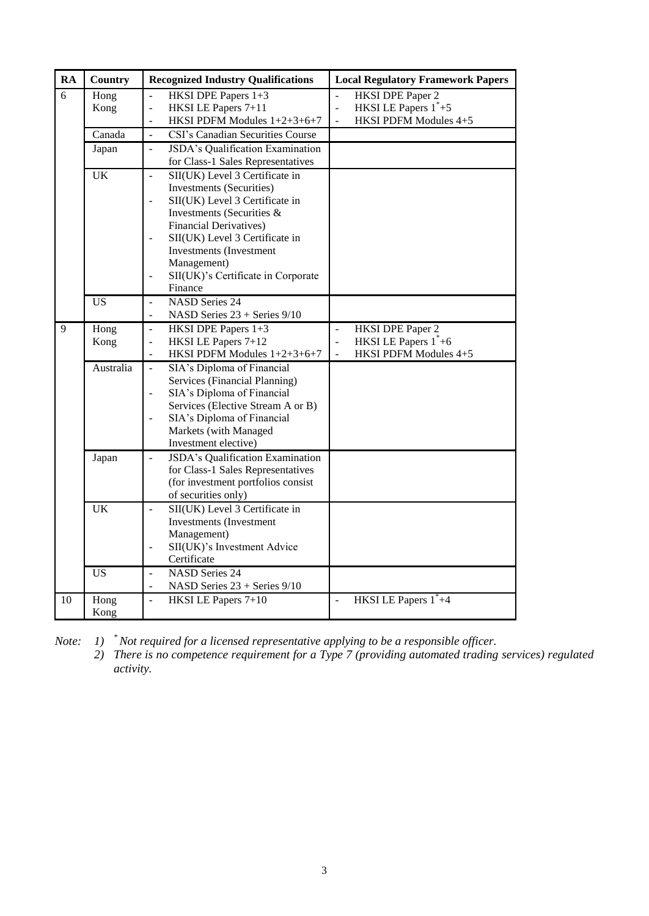| <b>RA</b>      | Country         | <b>Recognized Industry Qualifications</b>                                                                                                                                                                                                                                                                                               | <b>Local Regulatory Framework Papers</b>                                                                                            |
|----------------|-----------------|-----------------------------------------------------------------------------------------------------------------------------------------------------------------------------------------------------------------------------------------------------------------------------------------------------------------------------------------|-------------------------------------------------------------------------------------------------------------------------------------|
| $\overline{6}$ | Hong<br>Kong    | HKSI DPE Papers 1+3<br>$\overline{a}$<br>HKSI LE Papers 7+11<br>$\frac{1}{2}$<br>HKSI PDFM Modules 1+2+3+6+7<br>$\overline{\phantom{a}}$                                                                                                                                                                                                | <b>HKSI DPE Paper 2</b><br>$\overline{a}$<br>HKSI LE Papers $1^*+5$<br>$\Box$<br>HKSI PDFM Modules 4+5<br>$\overline{a}$            |
|                | Canada          | CSI's Canadian Securities Course<br>$\overline{a}$                                                                                                                                                                                                                                                                                      |                                                                                                                                     |
|                | Japan           | JSDA's Qualification Examination<br>$\overline{a}$<br>for Class-1 Sales Representatives                                                                                                                                                                                                                                                 |                                                                                                                                     |
|                | <b>UK</b>       | SII(UK) Level 3 Certificate in<br>$\mathbf{r}$<br><b>Investments</b> (Securities)<br>SII(UK) Level 3 Certificate in<br>Investments (Securities &<br><b>Financial Derivatives)</b><br>SII(UK) Level 3 Certificate in<br><b>Investments</b> (Investment<br>Management)<br>SII(UK)'s Certificate in Corporate<br>$\blacksquare$<br>Finance |                                                                                                                                     |
|                | $\overline{US}$ | <b>NASD Series 24</b><br>$\overline{a}$<br>NASD Series 23 + Series 9/10<br>$\blacksquare$                                                                                                                                                                                                                                               |                                                                                                                                     |
| 9              | Hong<br>Kong    | HKSI DPE Papers 1+3<br>$\overline{\phantom{a}}$<br>HKSI LE Papers 7+12<br>$\blacksquare$<br>HKSI PDFM Modules 1+2+3+6+7                                                                                                                                                                                                                 | HKSI DPE Paper 2<br>$\overline{\phantom{a}}$<br>HKSI LE Papers $1^*+6$<br>$\overline{a}$<br>HKSI PDFM Modules 4+5<br>$\overline{a}$ |
|                | Australia       | SIA's Diploma of Financial<br>$\mathbb{L}$<br>Services (Financial Planning)<br>SIA's Diploma of Financial<br>$\blacksquare$<br>Services (Elective Stream A or B)<br>SIA's Diploma of Financial<br>$\overline{a}$<br>Markets (with Managed<br>Investment elective)                                                                       |                                                                                                                                     |
|                | Japan           | JSDA's Qualification Examination<br>$\overline{a}$<br>for Class-1 Sales Representatives<br>(for investment portfolios consist<br>of securities only)                                                                                                                                                                                    |                                                                                                                                     |
|                | <b>UK</b>       | SII(UK) Level 3 Certificate in<br>$\mathbb{Z}^2$<br><b>Investments</b> (Investment<br>Management)<br>SII(UK)'s Investment Advice<br>$\overline{a}$<br>Certificate                                                                                                                                                                       |                                                                                                                                     |
|                | <b>US</b>       | <b>NASD Series 24</b><br>$\blacksquare$<br>NASD Series 23 + Series 9/10<br>$\overline{\phantom{a}}$                                                                                                                                                                                                                                     |                                                                                                                                     |
| 10             | Hong<br>Kong    | HKSI LE Papers 7+10<br>$\overline{a}$                                                                                                                                                                                                                                                                                                   | HKSI LE Papers 1 <sup>*</sup> +4<br>$\overline{a}$                                                                                  |

*Note: 1) \* Not required for a licensed representative applying to be a responsible officer.*

*2) There is no competence requirement for a Type 7 (providing automated trading services) regulated activity.*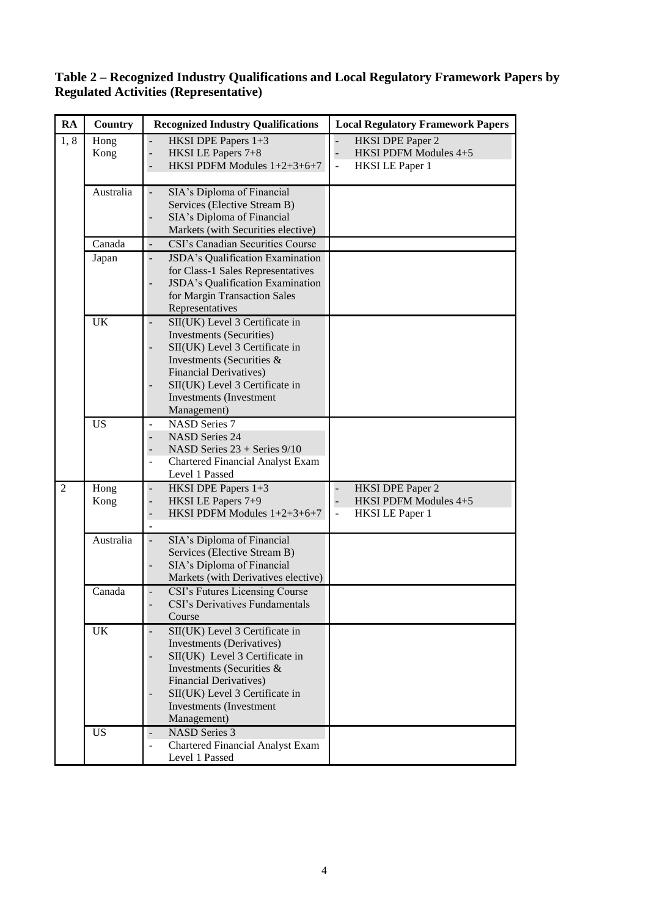#### **RA Country Recognized Industry Qualifications Local Regulatory Framework Papers** 1, 8 Hong Kong HKSI DPE Papers 1+3 - HKSI LE Papers 7+8<br>- HKSI PDFM Module HKSI PDFM Modules  $1+2+3+6+7$ HKSI DPE Paper 2 HKSI PDFM Modules 4+5 - HKSI LE Paper 1 Australia - SIA's Diploma of Financial Services (Elective Stream B) SIA's Diploma of Financial Markets (with Securities elective) Canada - CSI's Canadian Securities Course Japan - JSDA's Qualification Examination for Class-1 Sales Representatives JSDA's Qualification Examination for Margin Transaction Sales Representatives UK - SII(UK) Level 3 Certificate in Investments (Securities) SII(UK) Level 3 Certificate in Investments (Securities & Financial Derivatives) SII(UK) Level 3 Certificate in Investments (Investment Management) US - NASD Series 7 NASD Series 24 NASD Series  $23 +$  Series  $9/10$ - Chartered Financial Analyst Exam Level 1 Passed 2 Hong Kong - HKSI DPE Papers 1+3 HKSI LE Papers 7+9 - HKSI PDFM Modules  $1+2+3+6+7$ - HKSI DPE Paper 2 - HKSI PDFM Modules 4+5 HKSI LE Paper 1 Australia - SIA's Diploma of Financial Services (Elective Stream B) SIA's Diploma of Financial Markets (with Derivatives elective) Canada - CSI's Futures Licensing Course CSI's Derivatives Fundamentals Course UK - SII(UK) Level 3 Certificate in Investments (Derivatives) SII(UK) Level 3 Certificate in Investments (Securities & Financial Derivatives) - SII(UK) Level 3 Certificate in Investments (Investment Management) US - NASD Series 3 - Chartered Financial Analyst Exam Level 1 Passed

## **Table 2 – Recognized Industry Qualifications and Local Regulatory Framework Papers by Regulated Activities (Representative)**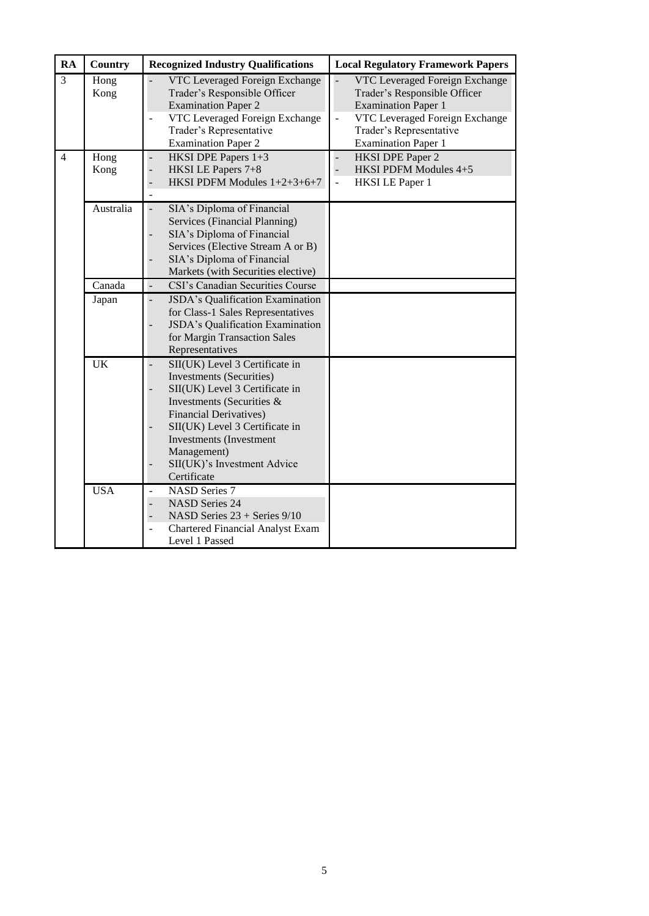| <b>RA</b>      | Country      | <b>Recognized Industry Qualifications</b>                                                                                                                                                                                                                                                          | <b>Local Regulatory Framework Papers</b>                                                                                                                                                                  |
|----------------|--------------|----------------------------------------------------------------------------------------------------------------------------------------------------------------------------------------------------------------------------------------------------------------------------------------------------|-----------------------------------------------------------------------------------------------------------------------------------------------------------------------------------------------------------|
| $\overline{3}$ | Hong<br>Kong | VTC Leveraged Foreign Exchange<br>Trader's Responsible Officer<br><b>Examination Paper 2</b><br>VTC Leveraged Foreign Exchange<br>Trader's Representative<br><b>Examination Paper 2</b>                                                                                                            | VTC Leveraged Foreign Exchange<br>Trader's Responsible Officer<br><b>Examination Paper 1</b><br>VTC Leveraged Foreign Exchange<br>$\overline{a}$<br>Trader's Representative<br><b>Examination Paper 1</b> |
| $\overline{4}$ | Hong<br>Kong | HKSI DPE Papers 1+3<br>HKSI LE Papers 7+8<br>HKSI PDFM Modules 1+2+3+6+7<br>÷,                                                                                                                                                                                                                     | <b>HKSI DPE Paper 2</b><br>$\overline{a}$<br>$\overline{a}$<br>HKSI PDFM Modules 4+5<br><b>HKSI LE Paper 1</b><br>$\overline{a}$                                                                          |
|                | Australia    | SIA's Diploma of Financial<br>Services (Financial Planning)<br>SIA's Diploma of Financial<br>Services (Elective Stream A or B)<br>SIA's Diploma of Financial<br>Markets (with Securities elective)                                                                                                 |                                                                                                                                                                                                           |
|                | Canada       | CSI's Canadian Securities Course                                                                                                                                                                                                                                                                   |                                                                                                                                                                                                           |
|                | Japan        | JSDA's Qualification Examination<br>for Class-1 Sales Representatives<br>JSDA's Qualification Examination<br>for Margin Transaction Sales<br>Representatives                                                                                                                                       |                                                                                                                                                                                                           |
|                | <b>UK</b>    | SII(UK) Level 3 Certificate in<br><b>Investments</b> (Securities)<br>SII(UK) Level 3 Certificate in<br>Investments (Securities &<br><b>Financial Derivatives)</b><br>SII(UK) Level 3 Certificate in<br><b>Investments</b> (Investment<br>Management)<br>SII(UK)'s Investment Advice<br>Certificate |                                                                                                                                                                                                           |
|                | <b>USA</b>   | <b>NASD Series 7</b><br><b>NASD Series 24</b><br>NASD Series 23 + Series 9/10<br>Chartered Financial Analyst Exam<br>Level 1 Passed                                                                                                                                                                |                                                                                                                                                                                                           |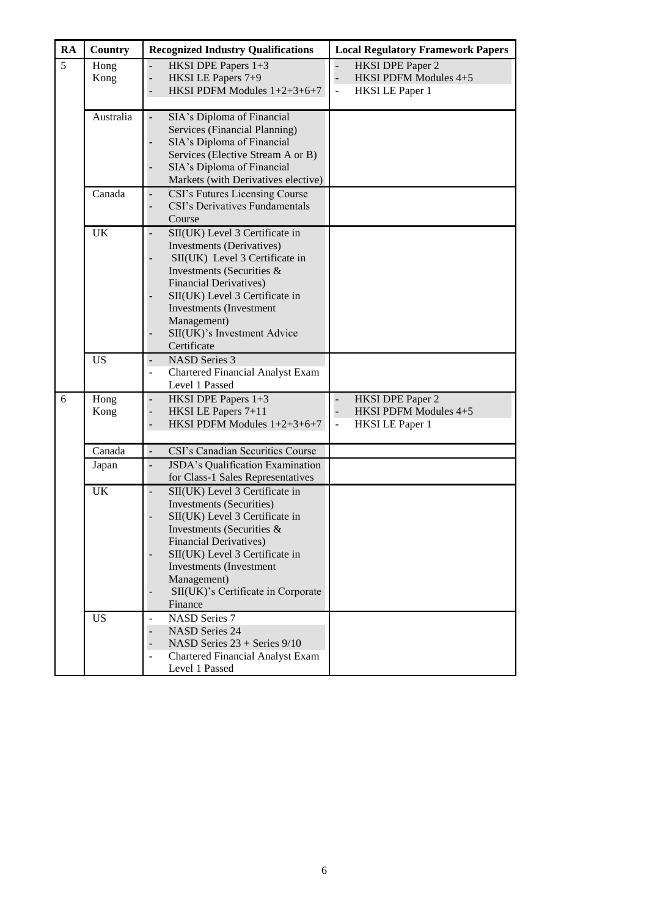| RA | <b>Country</b> | <b>Recognized Industry Qualifications</b>                                                                                                                                                                                                                                                         | <b>Local Regulatory Framework Papers</b>                                                                                               |
|----|----------------|---------------------------------------------------------------------------------------------------------------------------------------------------------------------------------------------------------------------------------------------------------------------------------------------------|----------------------------------------------------------------------------------------------------------------------------------------|
| 5  | Hong<br>Kong   | HKSI DPE Papers 1+3<br>HKSI LE Papers 7+9<br>HKSI PDFM Modules 1+2+3+6+7                                                                                                                                                                                                                          | <b>HKSI DPE Paper 2</b><br>HKSI PDFM Modules 4+5<br>$\overline{\phantom{a}}$<br><b>HKSI LE Paper 1</b><br>$\qquad \qquad \blacksquare$ |
|    | Australia      | SIA's Diploma of Financial<br>Services (Financial Planning)<br>SIA's Diploma of Financial<br>Services (Elective Stream A or B)<br>SIA's Diploma of Financial<br>Markets (with Derivatives elective)                                                                                               |                                                                                                                                        |
|    | Canada         | CSI's Futures Licensing Course<br>CSI's Derivatives Fundamentals<br>Course                                                                                                                                                                                                                        |                                                                                                                                        |
|    | <b>UK</b>      | SII(UK) Level 3 Certificate in<br>Investments (Derivatives)<br>SII(UK) Level 3 Certificate in<br>Investments (Securities &<br><b>Financial Derivatives)</b><br>SII(UK) Level 3 Certificate in<br><b>Investments</b> (Investment<br>Management)<br>SII(UK)'s Investment Advice<br>Certificate      |                                                                                                                                        |
|    | <b>US</b>      | <b>NASD Series 3</b><br>$\overline{\phantom{a}}$<br>Chartered Financial Analyst Exam<br>$\overline{\phantom{a}}$<br>Level 1 Passed                                                                                                                                                                |                                                                                                                                        |
| 6  | Hong<br>Kong   | HKSI DPE Papers 1+3<br>HKSI LE Papers 7+11<br>HKSI PDFM Modules 1+2+3+6+7                                                                                                                                                                                                                         | <b>HKSI DPE Paper 2</b><br>$\overline{\phantom{a}}$<br>HKSI PDFM Modules 4+5<br><b>HKSI LE Paper 1</b><br>$\frac{1}{2}$                |
|    | Canada         | CSI's Canadian Securities Course                                                                                                                                                                                                                                                                  |                                                                                                                                        |
|    | Japan          | JSDA's Qualification Examination<br>for Class-1 Sales Representatives                                                                                                                                                                                                                             |                                                                                                                                        |
|    | UK             | SII(UK) Level 3 Certificate in<br><b>Investments (Securities)</b><br>SII(UK) Level 3 Certificate in<br>Investments (Securities $\&$<br><b>Financial Derivatives)</b><br>SII(UK) Level 3 Certificate in<br>Investments (Investment<br>Management)<br>SII(UK)'s Certificate in Corporate<br>Finance |                                                                                                                                        |
|    | <b>US</b>      | <b>NASD Series 7</b><br><b>NASD Series 24</b><br>NASD Series 23 + Series 9/10<br><b>Chartered Financial Analyst Exam</b><br>Level 1 Passed                                                                                                                                                        |                                                                                                                                        |